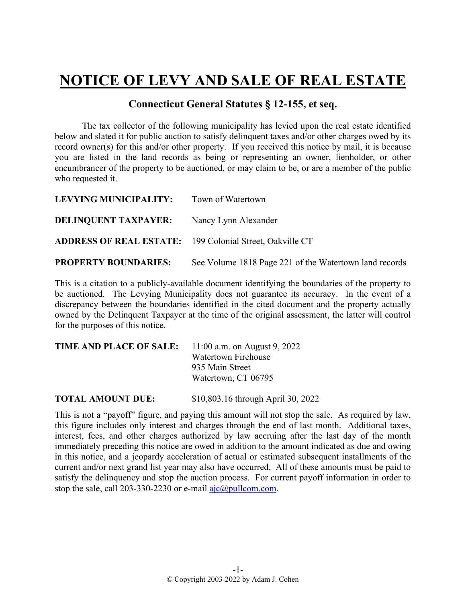## **NOTICE OF LEVY AND SALE OF REAL ESTATE**

## **Connecticut General Statutes § 12-155, et seq.**

The tax collector of the following municipality has levied upon the real estate identified below and slated it for public auction to satisfy delinquent taxes and/or other charges owed by its record owner(s) for this and/or other property. If you received this notice by mail, it is because you are listed in the land records as being or representing an owner, lienholder, or other encumbrancer of the property to be auctioned, or may claim to be, or are a member of the public who requested it.

| LEVYING MUNICIPALITY:                                           | Town of Watertown                                      |
|-----------------------------------------------------------------|--------------------------------------------------------|
| <b>DELINQUENT TAXPAYER:</b>                                     | Nancy Lynn Alexander                                   |
| <b>ADDRESS OF REAL ESTATE:</b> 199 Colonial Street, Oakville CT |                                                        |
| <b>PROPERTY BOUNDARIES:</b>                                     | See Volume 1818 Page 221 of the Watertown land records |

This is a citation to a publicly-available document identifying the boundaries of the property to be auctioned. The Levying Municipality does not guarantee its accuracy. In the event of a discrepancy between the boundaries identified in the cited document and the property actually owned by the Delinquent Taxpayer at the time of the original assessment, the latter will control for the purposes of this notice.

| <b>TIME AND PLACE OF SALE:</b> 11:00 a.m. on August 9, 2022 |                            |
|-------------------------------------------------------------|----------------------------|
|                                                             | <b>Watertown Firehouse</b> |
|                                                             | 935 Main Street            |
|                                                             | Watertown, CT 06795        |
|                                                             |                            |

**TOTAL AMOUNT DUE:** \$10,803.16 through April 30, 2022

This is not a "payoff" figure, and paying this amount will not stop the sale. As required by law, this figure includes only interest and charges through the end of last month. Additional taxes, interest, fees, and other charges authorized by law accruing after the last day of the month immediately preceding this notice are owed in addition to the amount indicated as due and owing in this notice, and a jeopardy acceleration of actual or estimated subsequent installments of the current and/or next grand list year may also have occurred. All of these amounts must be paid to satisfy the delinquency and stop the auction process. For current payoff information in order to stop the sale, call 203-330-2230 or e-mail  $a$ jc $@p$ ullcom.com.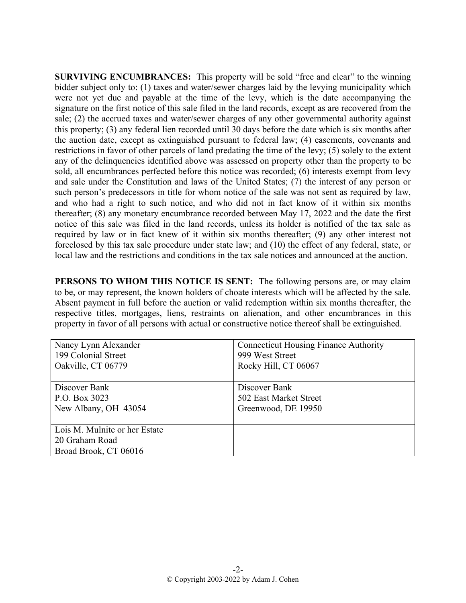**SURVIVING ENCUMBRANCES:** This property will be sold "free and clear" to the winning bidder subject only to: (1) taxes and water/sewer charges laid by the levying municipality which were not yet due and payable at the time of the levy, which is the date accompanying the signature on the first notice of this sale filed in the land records, except as are recovered from the sale; (2) the accrued taxes and water/sewer charges of any other governmental authority against this property; (3) any federal lien recorded until 30 days before the date which is six months after the auction date, except as extinguished pursuant to federal law; (4) easements, covenants and restrictions in favor of other parcels of land predating the time of the levy; (5) solely to the extent any of the delinquencies identified above was assessed on property other than the property to be sold, all encumbrances perfected before this notice was recorded; (6) interests exempt from levy and sale under the Constitution and laws of the United States; (7) the interest of any person or such person's predecessors in title for whom notice of the sale was not sent as required by law, and who had a right to such notice, and who did not in fact know of it within six months thereafter; (8) any monetary encumbrance recorded between May 17, 2022 and the date the first notice of this sale was filed in the land records, unless its holder is notified of the tax sale as required by law or in fact knew of it within six months thereafter; (9) any other interest not foreclosed by this tax sale procedure under state law; and (10) the effect of any federal, state, or local law and the restrictions and conditions in the tax sale notices and announced at the auction.

**PERSONS TO WHOM THIS NOTICE IS SENT:** The following persons are, or may claim to be, or may represent, the known holders of choate interests which will be affected by the sale. Absent payment in full before the auction or valid redemption within six months thereafter, the respective titles, mortgages, liens, restraints on alienation, and other encumbrances in this property in favor of all persons with actual or constructive notice thereof shall be extinguished.

| Nancy Lynn Alexander          | <b>Connecticut Housing Finance Authority</b> |
|-------------------------------|----------------------------------------------|
| 199 Colonial Street           | 999 West Street                              |
| Oakville, CT 06779            | Rocky Hill, CT 06067                         |
|                               |                                              |
| Discover Bank                 | Discover Bank                                |
| P.O. Box 3023                 | 502 East Market Street                       |
| New Albany, OH 43054          | Greenwood, DE 19950                          |
|                               |                                              |
| Lois M. Mulnite or her Estate |                                              |
| 20 Graham Road                |                                              |
| Broad Brook, CT 06016         |                                              |